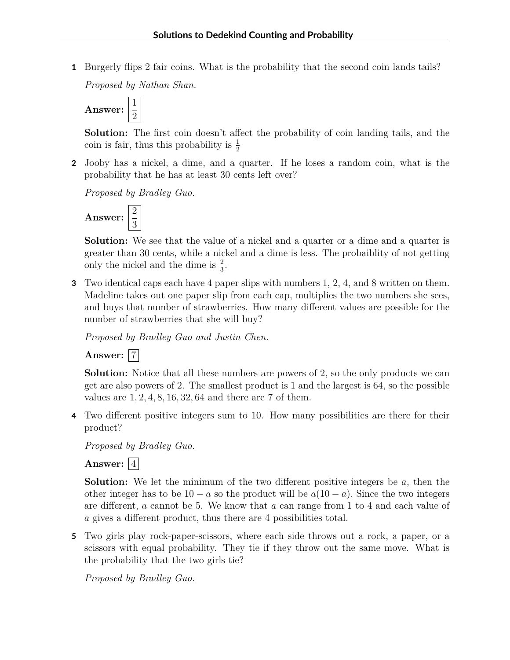**1** Burgerly flips 2 fair coins. What is the probability that the second coin lands tails?

*Proposed by Nathan Shan.*



**Solution:** The first coin doesn't affect the probability of coin landing tails, and the coin is fair, thus this probability is  $\frac{1}{2}$ 

**2** Jooby has a nickel, a dime, and a quarter. If he loses a random coin, what is the probability that he has at least 30 cents left over?

*Proposed by Bradley Guo.*



**Solution:** We see that the value of a nickel and a quarter or a dime and a quarter is greater than 30 cents, while a nickel and a dime is less. The probaiblity of not getting only the nickel and the dime is  $\frac{2}{3}$ .

**3** Two identical caps each have 4 paper slips with numbers 1, 2, 4, and 8 written on them. Madeline takes out one paper slip from each cap, multiplies the two numbers she sees, and buys that number of strawberries. How many different values are possible for the number of strawberries that she will buy?

*Proposed by Bradley Guo and Justin Chen.*

**Answer:** 7

**Solution:** Notice that all these numbers are powers of 2, so the only products we can get are also powers of 2. The smallest product is 1 and the largest is 64, so the possible values are 1*,* 2*,* 4*,* 8*,* 16*,* 32*,* 64 and there are 7 of them.

**4** Two different positive integers sum to 10. How many possibilities are there for their product?

*Proposed by Bradley Guo.*

## **Answer:**  $\boxed{4}$

**Solution:** We let the minimum of the two different positive integers be *a*, then the other integer has to be  $10 - a$  so the product will be  $a(10 - a)$ . Since the two integers are different, *a* cannot be 5. We know that *a* can range from 1 to 4 and each value of *a* gives a different product, thus there are 4 possibilities total.

**5** Two girls play rock-paper-scissors, where each side throws out a rock, a paper, or a scissors with equal probability. They tie if they throw out the same move. What is the probability that the two girls tie?

*Proposed by Bradley Guo.*